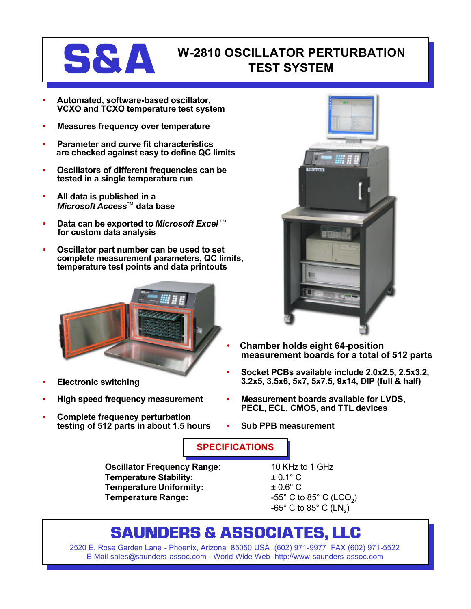### **S&A W-2810 OSCILLATOR PERTURBATION TEST SYSTEM**

- **Automated, software-based oscillator, VCXO and TCXO temperature test system**
- **Measures frequency over temperature**
- **Parameter and curve fit characteristics are checked against easy to define QC limits**
- **Oscillators of different frequencies can be tested in a single temperature run**
- **All data is published in a** *Microsoft Access*™ data base
- **Data can be exported to Microsoft Excel**™ **for custom data analysis**
- **Oscillator part number can be used to set complete measurement parameters, QC limits, temperature test points and data printouts**



- **Electronic switching**
- **High speed frequency measurement**
- **Complete frequency perturbation testing of 512 parts in about 1.5 hours**



- **Chamber holds eight 64-position measurement boards for a total of 512 parts**
- **Socket PCBs available include 2.0x2.5, 2.5x3.2, 3.2x5, 3.5x6, 5x7, 5x7.5, 9x14, DIP (full & half)**
- **Measurement boards available for LVDS, PECL, ECL, CMOS, and TTL devices**
- **Sub PPB measurement**

**SPECIFICATIONS**

**Oscillator Frequency Range:** 10 KHz to 1 GHz **Temperature Stability:** ± 0.1° C **Temperature Uniformity:** ± 0.6° C **Temperature Range:** -55° C to 85° C (LCO**<sup>2</sup>** )

-65° C to 85° C (LN**<sup>2</sup>** )

## **SAUNDERS & ASSOCIATES, LLC**

2520 E. Rose Garden Lane - Phoenix, Arizona 85050 USA (602) 971-9977 FAX (602) 971-5522 E-Mail sales@saunders-assoc.com - World Wide Web http://www.saunders-assoc.com